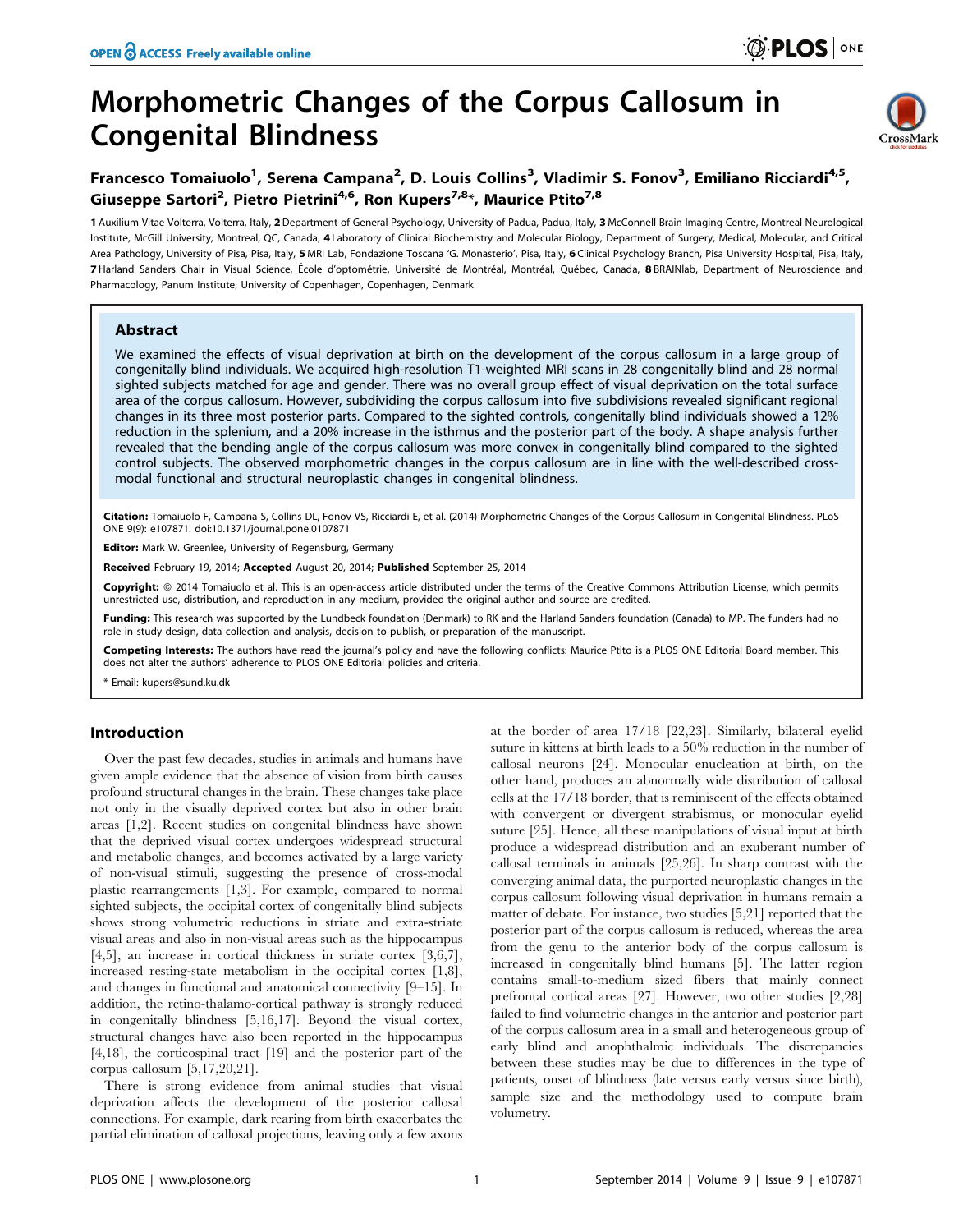# Morphometric Changes of the Corpus Callosum in Congenital Blindness



# Francesco Tomaiuolo<sup>1</sup>, Serena Campana<sup>2</sup>, D. Louis Collins<sup>3</sup>, Vladimir S. Fonov<sup>3</sup>, Emiliano Ricciardi<sup>4,5</sup>, Giuseppe Sartori<sup>2</sup>, Pietro Pietrini<sup>4,6</sup>, Ron Kupers<sup>7,8\*</sup>, Maurice Ptito<sup>7,8</sup>

1 Auxilium Vitae Volterra, Volterra, Italy, 2 Department of General Psychology, University of Padua, Padua, Italy, 3 McConnell Brain Imaging Centre, Montreal Neurological Institute, McGill University, Montreal, QC, Canada, 4 Laboratory of Clinical Biochemistry and Molecular Biology, Department of Surgery, Medical, Molecular, and Critical Area Pathology, University of Pisa, Pisa, Italy, 5 MRI Lab, Fondazione Toscana 'G. Monasterio', Pisa, Italy, 6 Clinical Psychology Branch, Pisa University Hospital, Pisa, Italy, 7 Harland Sanders Chair in Visual Science, École d'optométrie, Université de Montréal, Montréal, Québec, Canada, 8 BRAINlab, Department of Neuroscience and Pharmacology, Panum Institute, University of Copenhagen, Copenhagen, Denmark

# Abstract

We examined the effects of visual deprivation at birth on the development of the corpus callosum in a large group of congenitally blind individuals. We acquired high-resolution T1-weighted MRI scans in 28 congenitally blind and 28 normal sighted subjects matched for age and gender. There was no overall group effect of visual deprivation on the total surface area of the corpus callosum. However, subdividing the corpus callosum into five subdivisions revealed significant regional changes in its three most posterior parts. Compared to the sighted controls, congenitally blind individuals showed a 12% reduction in the splenium, and a 20% increase in the isthmus and the posterior part of the body. A shape analysis further revealed that the bending angle of the corpus callosum was more convex in congenitally blind compared to the sighted control subjects. The observed morphometric changes in the corpus callosum are in line with the well-described crossmodal functional and structural neuroplastic changes in congenital blindness.

Citation: Tomaiuolo F, Campana S, Collins DL, Fonov VS, Ricciardi E, et al. (2014) Morphometric Changes of the Corpus Callosum in Congenital Blindness. PLoS ONE 9(9): e107871. doi:10.1371/journal.pone.0107871

Editor: Mark W. Greenlee, University of Regensburg, Germany

Received February 19, 2014; Accepted August 20, 2014; Published September 25, 2014

Copyright: © 2014 Tomaiuolo et al. This is an open-access article distributed under the terms of the [Creative Commons Attribution License](http://creativecommons.org/licenses/by/4.0/), which permits unrestricted use, distribution, and reproduction in any medium, provided the original author and source are credited.

Funding: This research was supported by the Lundbeck foundation (Denmark) to RK and the Harland Sanders foundation (Canada) to MP. The funders had no role in study design, data collection and analysis, decision to publish, or preparation of the manuscript.

Competing Interests: The authors have read the journal's policy and have the following conflicts: Maurice Ptito is a PLOS ONE Editorial Board member. This does not alter the authors' adherence to PLOS ONE Editorial policies and criteria.

\* Email: kupers@sund.ku.dk

# Introduction

Over the past few decades, studies in animals and humans have given ample evidence that the absence of vision from birth causes profound structural changes in the brain. These changes take place not only in the visually deprived cortex but also in other brain areas [1,2]. Recent studies on congenital blindness have shown that the deprived visual cortex undergoes widespread structural and metabolic changes, and becomes activated by a large variety of non-visual stimuli, suggesting the presence of cross-modal plastic rearrangements [1,3]. For example, compared to normal sighted subjects, the occipital cortex of congenitally blind subjects shows strong volumetric reductions in striate and extra-striate visual areas and also in non-visual areas such as the hippocampus [4,5], an increase in cortical thickness in striate cortex [3,6,7], increased resting-state metabolism in the occipital cortex [1,8], and changes in functional and anatomical connectivity [9–15]. In addition, the retino-thalamo-cortical pathway is strongly reduced in congenitally blindness [5,16,17]. Beyond the visual cortex, structural changes have also been reported in the hippocampus [4,18], the corticospinal tract [19] and the posterior part of the corpus callosum [5,17,20,21].

There is strong evidence from animal studies that visual deprivation affects the development of the posterior callosal connections. For example, dark rearing from birth exacerbates the partial elimination of callosal projections, leaving only a few axons at the border of area 17/18 [22,23]. Similarly, bilateral eyelid suture in kittens at birth leads to a 50% reduction in the number of callosal neurons [24]. Monocular enucleation at birth, on the other hand, produces an abnormally wide distribution of callosal cells at the 17/18 border, that is reminiscent of the effects obtained with convergent or divergent strabismus, or monocular eyelid suture [25]. Hence, all these manipulations of visual input at birth produce a widespread distribution and an exuberant number of callosal terminals in animals [25,26]. In sharp contrast with the converging animal data, the purported neuroplastic changes in the corpus callosum following visual deprivation in humans remain a matter of debate. For instance, two studies [5,21] reported that the posterior part of the corpus callosum is reduced, whereas the area from the genu to the anterior body of the corpus callosum is increased in congenitally blind humans [5]. The latter region contains small-to-medium sized fibers that mainly connect prefrontal cortical areas [27]. However, two other studies [2,28] failed to find volumetric changes in the anterior and posterior part of the corpus callosum area in a small and heterogeneous group of early blind and anophthalmic individuals. The discrepancies between these studies may be due to differences in the type of patients, onset of blindness (late versus early versus since birth), sample size and the methodology used to compute brain volumetry.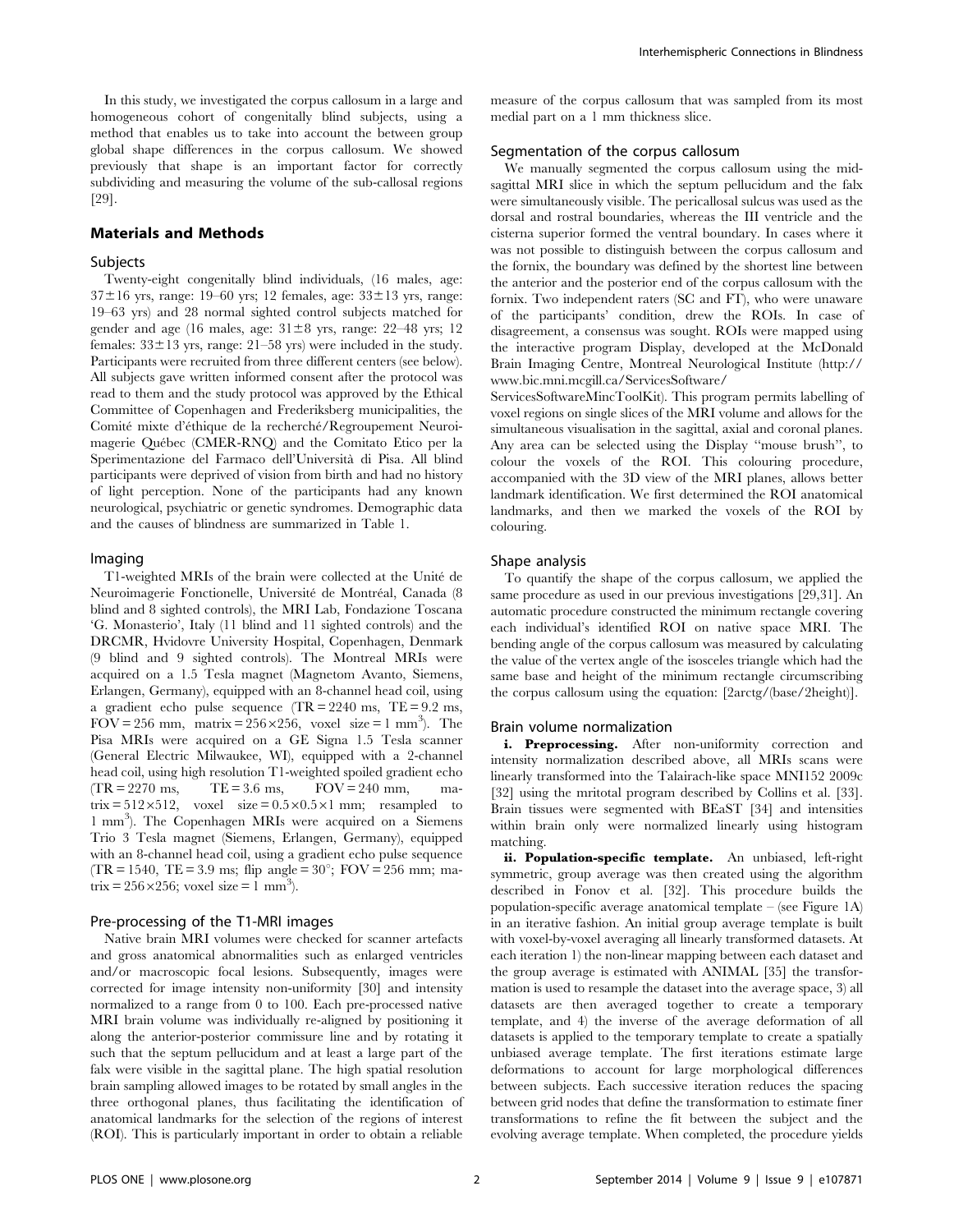In this study, we investigated the corpus callosum in a large and homogeneous cohort of congenitally blind subjects, using a method that enables us to take into account the between group global shape differences in the corpus callosum. We showed previously that shape is an important factor for correctly subdividing and measuring the volume of the sub-callosal regions [29].

#### Materials and Methods

# Subjects

Twenty-eight congenitally blind individuals, (16 males, age:  $37\pm16$  yrs, range: 19–60 yrs; 12 females, age:  $33\pm13$  yrs, range: 19–63 yrs) and 28 normal sighted control subjects matched for gender and age (16 males, age:  $31\pm8$  yrs, range: 22–48 yrs; 12 females:  $33\pm13$  yrs, range:  $21-58$  yrs) were included in the study. Participants were recruited from three different centers (see below). All subjects gave written informed consent after the protocol was read to them and the study protocol was approved by the Ethical Committee of Copenhagen and Frederiksberg municipalities, the Comité mixte d'éthique de la recherché/Regroupement Neuroimagerie Québec (CMER-RNQ) and the Comitato Etico per la Sperimentazione del Farmaco dell'Universita` di Pisa. All blind participants were deprived of vision from birth and had no history of light perception. None of the participants had any known neurological, psychiatric or genetic syndromes. Demographic data and the causes of blindness are summarized in Table 1.

#### Imaging

T1-weighted MRIs of the brain were collected at the Unite´ de Neuroimagerie Fonctionelle, Université de Montréal, Canada (8 blind and 8 sighted controls), the MRI Lab, Fondazione Toscana 'G. Monasterio', Italy (11 blind and 11 sighted controls) and the DRCMR, Hvidovre University Hospital, Copenhagen, Denmark (9 blind and 9 sighted controls). The Montreal MRIs were acquired on a 1.5 Tesla magnet (Magnetom Avanto, Siemens, Erlangen, Germany), equipped with an 8-channel head coil, using a gradient echo pulse sequence  $TR = 2240$  ms,  $TE = 9.2$  ms, FOV = 256 mm, matrix = 256 $\times$ 256, voxel size = 1 mm<sup>3</sup>). The Pisa MRIs were acquired on a GE Signa 1.5 Tesla scanner (General Electric Milwaukee, WI), equipped with a 2-channel head coil, using high resolution T1-weighted spoiled gradient echo  $(TR = 2270 \text{ ms}, \text{TE} = 3.6 \text{ ms}, \text{FOV} = 240 \text{ mm}, \text{ma}$  $(TR = 2270 \text{ ms}, \qquad TE = 3.6 \text{ ms}, \qquad FOV = 240 \text{ mm}, \qquad \text{ma}$ trix =  $512\times512$ , voxel size =  $0.5\times0.5\times1$  mm; resampled to 1 mm<sup>3</sup> ). The Copenhagen MRIs were acquired on a Siemens Trio 3 Tesla magnet (Siemens, Erlangen, Germany), equipped with an 8-channel head coil, using a gradient echo pulse sequence (TR = 1540, TE = 3.9 ms; flip angle =  $30^{\circ}$ ; FOV = 256 mm; matrix =  $256 \times 256$ ; voxel size = 1 mm<sup>3</sup>).

#### Pre-processing of the T1-MRI images

Native brain MRI volumes were checked for scanner artefacts and gross anatomical abnormalities such as enlarged ventricles and/or macroscopic focal lesions. Subsequently, images were corrected for image intensity non-uniformity [30] and intensity normalized to a range from 0 to 100. Each pre-processed native MRI brain volume was individually re-aligned by positioning it along the anterior-posterior commissure line and by rotating it such that the septum pellucidum and at least a large part of the falx were visible in the sagittal plane. The high spatial resolution brain sampling allowed images to be rotated by small angles in the three orthogonal planes, thus facilitating the identification of anatomical landmarks for the selection of the regions of interest (ROI). This is particularly important in order to obtain a reliable

measure of the corpus callosum that was sampled from its most medial part on a 1 mm thickness slice.

# Segmentation of the corpus callosum

We manually segmented the corpus callosum using the midsagittal MRI slice in which the septum pellucidum and the falx were simultaneously visible. The pericallosal sulcus was used as the dorsal and rostral boundaries, whereas the III ventricle and the cisterna superior formed the ventral boundary. In cases where it was not possible to distinguish between the corpus callosum and the fornix, the boundary was defined by the shortest line between the anterior and the posterior end of the corpus callosum with the fornix. Two independent raters (SC and FT), who were unaware of the participants' condition, drew the ROIs. In case of disagreement, a consensus was sought. ROIs were mapped using the interactive program Display, developed at the McDonald Brain Imaging Centre, Montreal Neurological Institute ([http://](http://www.bic.mni.mcgill.ca/ServicesSoftware/ServicesSoftwareMincToolKit) [www.bic.mni.mcgill.ca/ServicesSoftware/](http://www.bic.mni.mcgill.ca/ServicesSoftware/ServicesSoftwareMincToolKit)

[ServicesSoftwareMincToolKit](http://www.bic.mni.mcgill.ca/ServicesSoftware/ServicesSoftwareMincToolKit)). This program permits labelling of voxel regions on single slices of the MRI volume and allows for the simultaneous visualisation in the sagittal, axial and coronal planes. Any area can be selected using the Display ''mouse brush'', to colour the voxels of the ROI. This colouring procedure, accompanied with the 3D view of the MRI planes, allows better landmark identification. We first determined the ROI anatomical landmarks, and then we marked the voxels of the ROI by colouring.

#### Shape analysis

To quantify the shape of the corpus callosum, we applied the same procedure as used in our previous investigations [29,31]. An automatic procedure constructed the minimum rectangle covering each individual's identified ROI on native space MRI. The bending angle of the corpus callosum was measured by calculating the value of the vertex angle of the isosceles triangle which had the same base and height of the minimum rectangle circumscribing the corpus callosum using the equation: [2arctg/(base/2height)].

#### Brain volume normalization

i. Preprocessing. After non-uniformity correction and intensity normalization described above, all MRIs scans were linearly transformed into the Talairach-like space MNI152 2009c [32] using the mritotal program described by Collins et al. [33]. Brain tissues were segmented with BEaST [34] and intensities within brain only were normalized linearly using histogram matching.

ii. Population-specific template. An unbiased, left-right symmetric, group average was then created using the algorithm described in Fonov et al. [32]. This procedure builds the population-specific average anatomical template – (see Figure 1A) in an iterative fashion. An initial group average template is built with voxel-by-voxel averaging all linearly transformed datasets. At each iteration 1) the non-linear mapping between each dataset and the group average is estimated with ANIMAL [35] the transformation is used to resample the dataset into the average space, 3) all datasets are then averaged together to create a temporary template, and 4) the inverse of the average deformation of all datasets is applied to the temporary template to create a spatially unbiased average template. The first iterations estimate large deformations to account for large morphological differences between subjects. Each successive iteration reduces the spacing between grid nodes that define the transformation to estimate finer transformations to refine the fit between the subject and the evolving average template. When completed, the procedure yields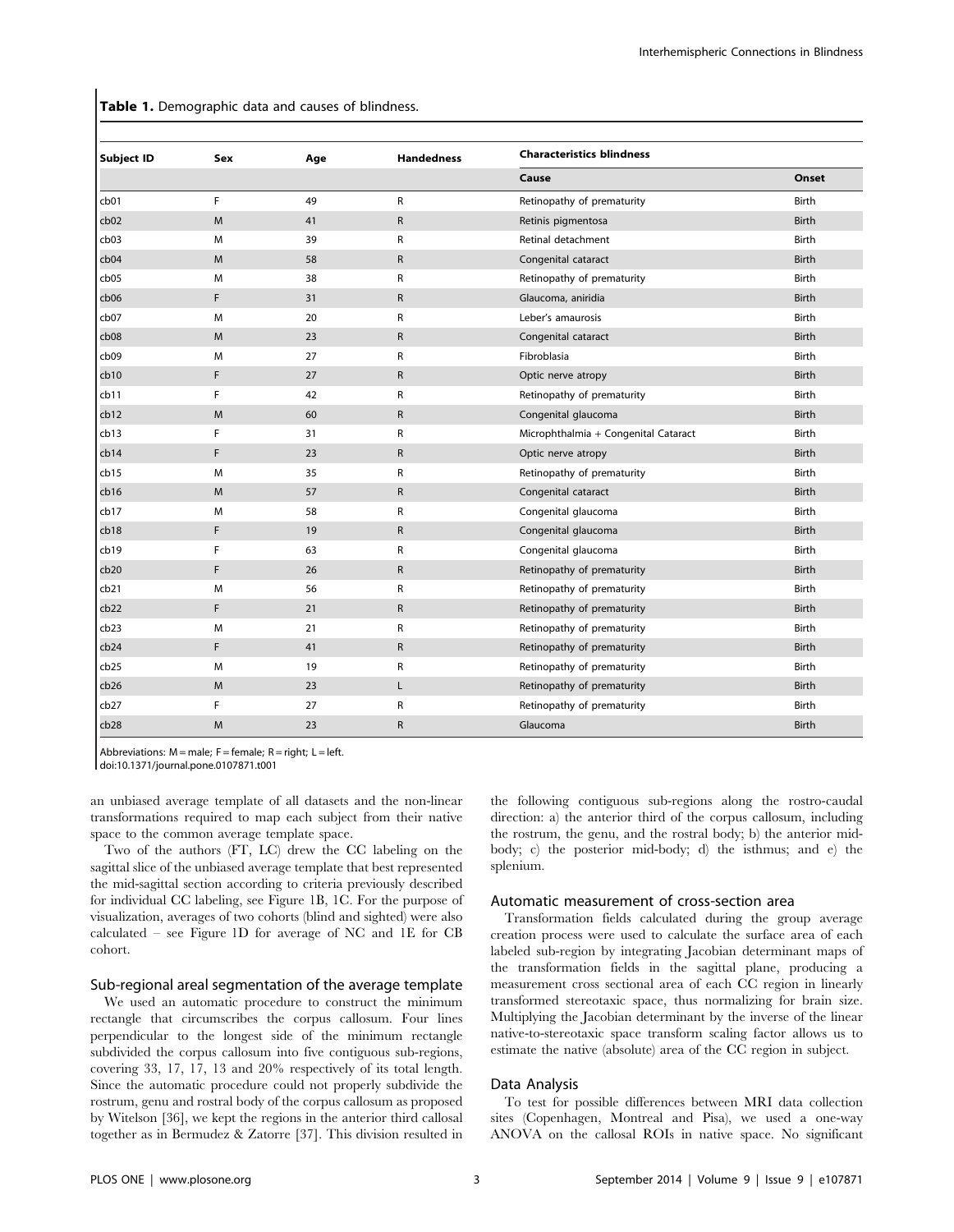Table 1. Demographic data and causes of blindness.

| <b>Subject ID</b> | Sex | Age | <b>Handedness</b> | <b>Characteristics blindness</b>     |       |
|-------------------|-----|-----|-------------------|--------------------------------------|-------|
|                   |     |     |                   | Cause                                | Onset |
| cb01              | F   | 49  | R                 | Retinopathy of prematurity           | Birth |
| cb02              | M   | 41  | $\mathsf{R}$      | Retinis pigmentosa                   | Birth |
| cb03              | M   | 39  | R                 | Retinal detachment                   | Birth |
| cb04              | M   | 58  | R                 | Congenital cataract                  | Birth |
| cb05              | M   | 38  | R                 | Retinopathy of prematurity           | Birth |
| cb06              | F   | 31  | $\mathsf R$       | Glaucoma, aniridia                   | Birth |
| cb07              | M   | 20  | R                 | Leber's amaurosis                    | Birth |
| cb08              | M   | 23  | $\mathsf R$       | Congenital cataract                  | Birth |
| cb09              | M   | 27  | R                 | Fibroblasia                          | Birth |
| cb10              | F   | 27  | R                 | Optic nerve atropy                   | Birth |
| cb11              | F   | 42  | R                 | Retinopathy of prematurity           | Birth |
| cb12              | M   | 60  | R                 | Congenital glaucoma                  | Birth |
| cb13              | F   | 31  | R                 | Microphthalmia + Congenital Cataract | Birth |
| cb14              | F   | 23  | R                 | Optic nerve atropy                   | Birth |
| cb15              | M   | 35  | R                 | Retinopathy of prematurity           | Birth |
| cb16              | M   | 57  | $\mathsf{R}$      | Congenital cataract                  | Birth |
| cb17              | M   | 58  | R                 | Congenital glaucoma                  | Birth |
| cb18              | F   | 19  | R                 | Congenital glaucoma                  | Birth |
| cb19              | F   | 63  | R                 | Congenital glaucoma                  | Birth |
| cb20              | F   | 26  | R                 | Retinopathy of prematurity           | Birth |
| cb21              | M   | 56  | R                 | Retinopathy of prematurity           | Birth |
| cb22              | F.  | 21  | R                 | Retinopathy of prematurity           | Birth |
| cb23              | M   | 21  | R                 | Retinopathy of prematurity           | Birth |
| cb24              | F   | 41  | R                 | Retinopathy of prematurity           | Birth |
| cb25              | М   | 19  | R                 | Retinopathy of prematurity           | Birth |
| cb26              | M   | 23  | Г                 | Retinopathy of prematurity           | Birth |
| cb27              | F   | 27  | R                 | Retinopathy of prematurity           | Birth |
| cb28              | M   | 23  | R                 | Glaucoma                             | Birth |

Abbreviations:  $M =$  male;  $F =$  female;  $R =$  right;  $L =$  left.

doi:10.1371/journal.pone.0107871.t001

an unbiased average template of all datasets and the non-linear transformations required to map each subject from their native space to the common average template space.

Two of the authors (FT, LC) drew the CC labeling on the sagittal slice of the unbiased average template that best represented the mid-sagittal section according to criteria previously described for individual CC labeling, see Figure 1B, 1C. For the purpose of visualization, averages of two cohorts (blind and sighted) were also calculated – see Figure 1D for average of NC and 1E for CB cohort.

# Sub-regional areal segmentation of the average template

We used an automatic procedure to construct the minimum rectangle that circumscribes the corpus callosum. Four lines perpendicular to the longest side of the minimum rectangle subdivided the corpus callosum into five contiguous sub-regions, covering 33, 17, 17, 13 and 20% respectively of its total length. Since the automatic procedure could not properly subdivide the rostrum, genu and rostral body of the corpus callosum as proposed by Witelson [36], we kept the regions in the anterior third callosal together as in Bermudez & Zatorre [37]. This division resulted in the following contiguous sub-regions along the rostro-caudal direction: a) the anterior third of the corpus callosum, including the rostrum, the genu, and the rostral body; b) the anterior midbody; c) the posterior mid-body; d) the isthmus; and e) the splenium.

# Automatic measurement of cross-section area

Transformation fields calculated during the group average creation process were used to calculate the surface area of each labeled sub-region by integrating Jacobian determinant maps of the transformation fields in the sagittal plane, producing a measurement cross sectional area of each CC region in linearly transformed stereotaxic space, thus normalizing for brain size. Multiplying the Jacobian determinant by the inverse of the linear native-to-stereotaxic space transform scaling factor allows us to estimate the native (absolute) area of the CC region in subject.

# Data Analysis

To test for possible differences between MRI data collection sites (Copenhagen, Montreal and Pisa), we used a one-way ANOVA on the callosal ROIs in native space. No significant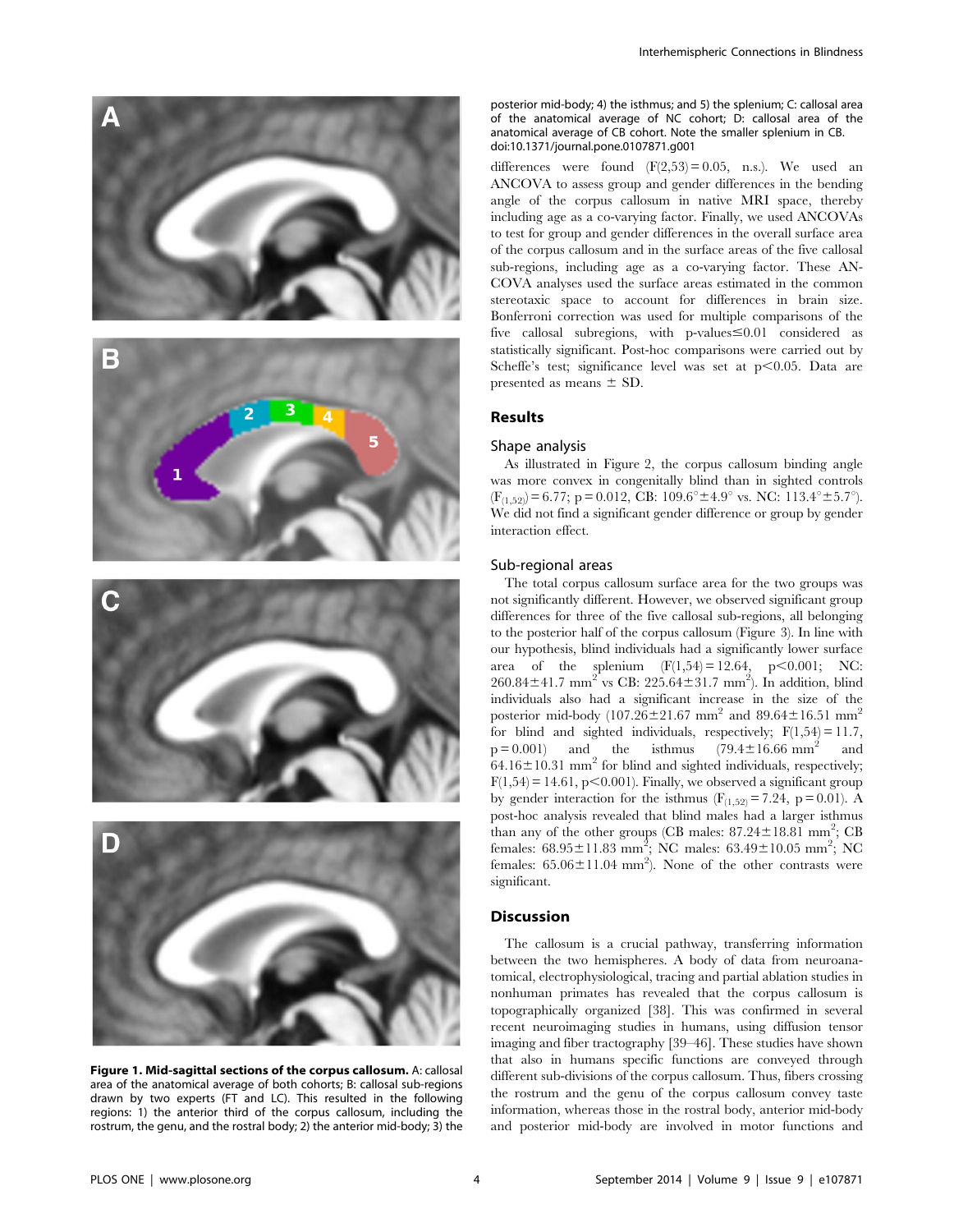

Figure 1. Mid-sagittal sections of the corpus callosum. A: callosal area of the anatomical average of both cohorts; B: callosal sub-regions drawn by two experts (FT and LC). This resulted in the following regions: 1) the anterior third of the corpus callosum, including the rostrum, the genu, and the rostral body; 2) the anterior mid-body; 3) the

posterior mid-body; 4) the isthmus; and 5) the splenium; C: callosal area of the anatomical average of NC cohort; D: callosal area of the anatomical average of CB cohort. Note the smaller splenium in CB. doi:10.1371/journal.pone.0107871.g001

differences were found  $(F(2,53) = 0.05, n.s.)$ . We used an ANCOVA to assess group and gender differences in the bending angle of the corpus callosum in native MRI space, thereby including age as a co-varying factor. Finally, we used ANCOVAs to test for group and gender differences in the overall surface area of the corpus callosum and in the surface areas of the five callosal sub-regions, including age as a co-varying factor. These AN-COVA analyses used the surface areas estimated in the common stereotaxic space to account for differences in brain size. Bonferroni correction was used for multiple comparisons of the five callosal subregions, with p-values  $\leq 0.01$  considered as statistically significant. Post-hoc comparisons were carried out by Scheffe's test; significance level was set at  $p<0.05$ . Data are presented as means  $\pm$  SD.

# Results

#### Shape analysis

As illustrated in Figure 2, the corpus callosum binding angle was more convex in congenitally blind than in sighted controls  $(F_{(1,52)}) = 6.77$ ; p = 0.012, CB: 109.6<sup>o</sup> ± 4.9<sup>o</sup> vs. NC: 113.4<sup>o</sup> ± 5.7<sup>o</sup>). We did not find a significant gender difference or group by gender interaction effect.

#### Sub-regional areas

The total corpus callosum surface area for the two groups was not significantly different. However, we observed significant group differences for three of the five callosal sub-regions, all belonging to the posterior half of the corpus callosum (Figure 3). In line with our hypothesis, blind individuals had a significantly lower surface area of the splenium  $(F(1,54) = 12.64, p < 0.001; NC:$  $260.84 \pm 41.7$  mm<sup>2</sup> vs CB:  $225.64 \pm 31.7$  mm<sup>2</sup>). In addition, blind individuals also had a significant increase in the size of the posterior mid-body (107.26 $\pm$ 21.67 mm<sup>2</sup> and 89.64 $\pm$ 16.51 mm<sup>2</sup> for blind and sighted individuals, respectively;  $F(1,54) = 11.7$ ,  $p = 0.001$  and the isthmus (79.4±16.66 mm<sup>2</sup> and  $64.16 \pm 10.31$  mm<sup>2</sup> for blind and sighted individuals, respectively;  $F(1,54) = 14.61$ , p $\leq 0.001$ ). Finally, we observed a significant group by gender interaction for the isthmus  $(F_{(1,52)} = 7.24, p = 0.01)$ . A post-hoc analysis revealed that blind males had a larger isthmus than any of the other groups (CB males:  $87.24 \pm 18.81$  mm<sup>2</sup>; CB females:  $68.95 \pm 11.83$  mm<sup>2</sup>; NC males:  $63.49 \pm 10.05$  mm<sup>2</sup>; NC females:  $65.06 \pm 11.04$  mm<sup>2</sup>). None of the other contrasts were significant.

# **Discussion**

The callosum is a crucial pathway, transferring information between the two hemispheres. A body of data from neuroanatomical, electrophysiological, tracing and partial ablation studies in nonhuman primates has revealed that the corpus callosum is topographically organized [38]. This was confirmed in several recent neuroimaging studies in humans, using diffusion tensor imaging and fiber tractography [39–46]. These studies have shown that also in humans specific functions are conveyed through different sub-divisions of the corpus callosum. Thus, fibers crossing the rostrum and the genu of the corpus callosum convey taste information, whereas those in the rostral body, anterior mid-body and posterior mid-body are involved in motor functions and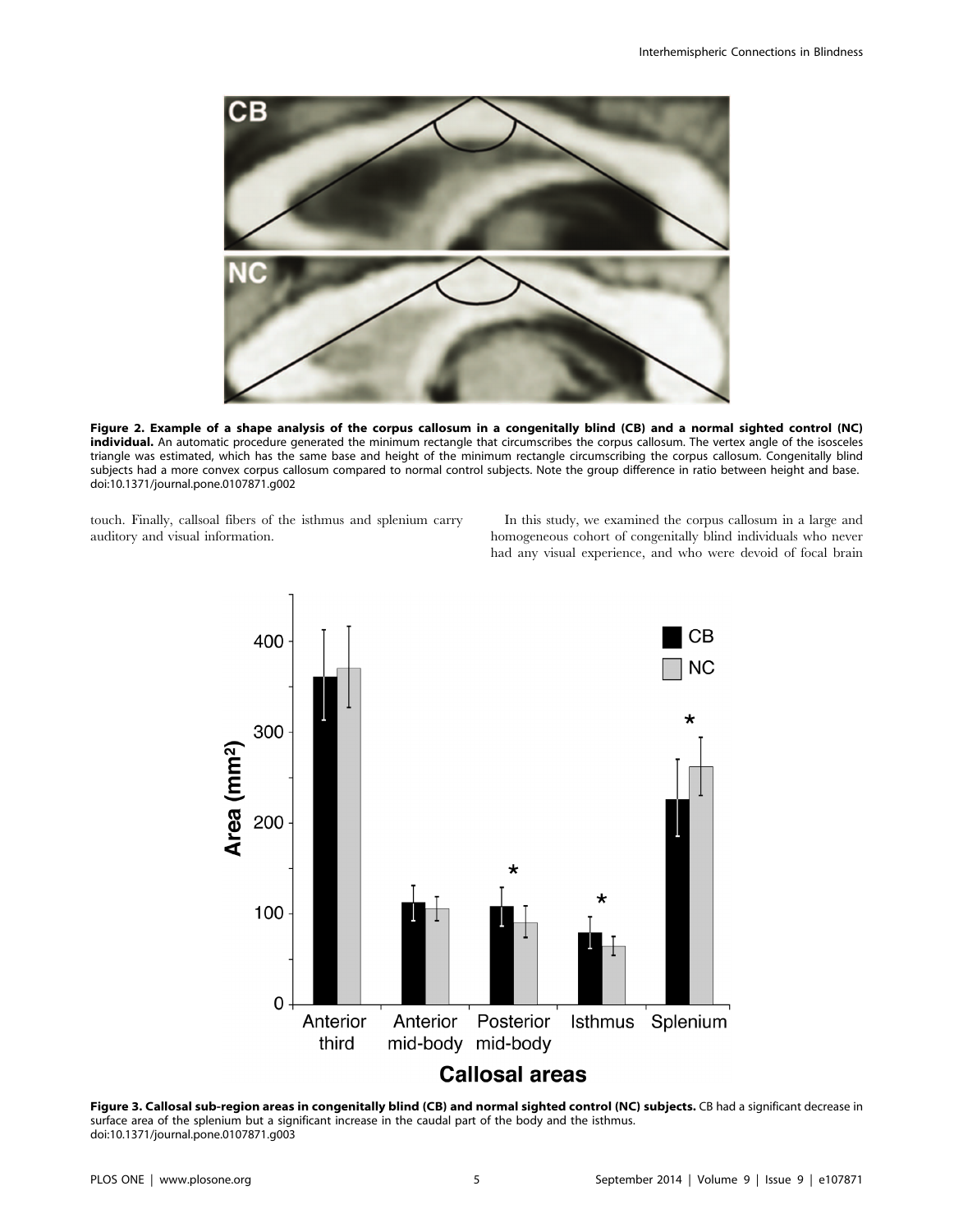

Figure 2. Example of a shape analysis of the corpus callosum in a congenitally blind (CB) and a normal sighted control (NC) individual. An automatic procedure generated the minimum rectangle that circumscribes the corpus callosum. The vertex angle of the isosceles triangle was estimated, which has the same base and height of the minimum rectangle circumscribing the corpus callosum. Congenitally blind subjects had a more convex corpus callosum compared to normal control subjects. Note the group difference in ratio between height and base. doi:10.1371/journal.pone.0107871.g002

touch. Finally, callsoal fibers of the isthmus and splenium carry auditory and visual information.

In this study, we examined the corpus callosum in a large and homogeneous cohort of congenitally blind individuals who never had any visual experience, and who were devoid of focal brain



Figure 3. Callosal sub-region areas in congenitally blind (CB) and normal sighted control (NC) subjects. CB had a significant decrease in surface area of the splenium but a significant increase in the caudal part of the body and the isthmus. doi:10.1371/journal.pone.0107871.g003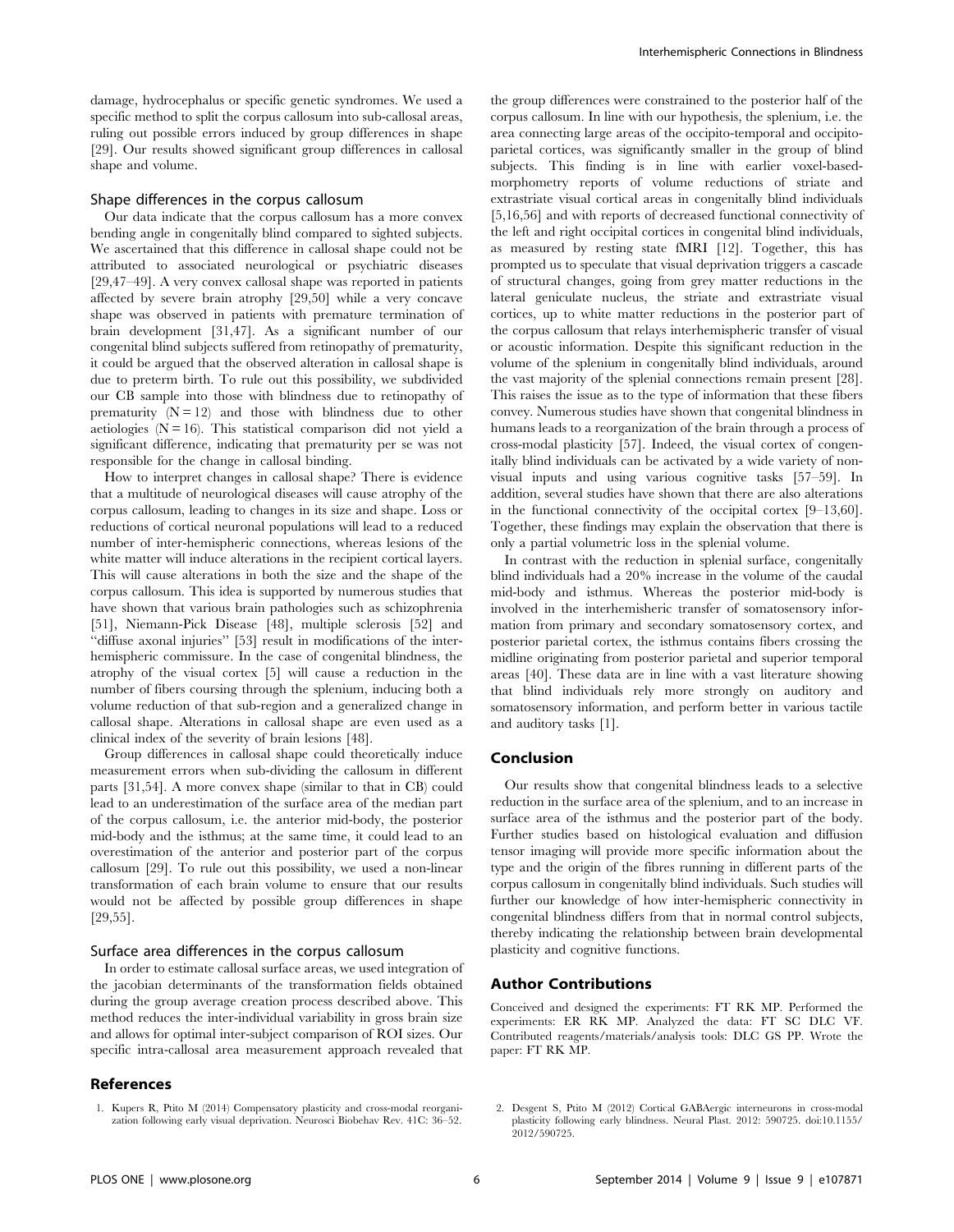damage, hydrocephalus or specific genetic syndromes. We used a specific method to split the corpus callosum into sub-callosal areas, ruling out possible errors induced by group differences in shape [29]. Our results showed significant group differences in callosal shape and volume.

#### Shape differences in the corpus callosum

Our data indicate that the corpus callosum has a more convex bending angle in congenitally blind compared to sighted subjects. We ascertained that this difference in callosal shape could not be attributed to associated neurological or psychiatric diseases [29,47–49]. A very convex callosal shape was reported in patients affected by severe brain atrophy [29,50] while a very concave shape was observed in patients with premature termination of brain development [31,47]. As a significant number of our congenital blind subjects suffered from retinopathy of prematurity, it could be argued that the observed alteration in callosal shape is due to preterm birth. To rule out this possibility, we subdivided our CB sample into those with blindness due to retinopathy of prematurity  $(N = 12)$  and those with blindness due to other aetiologies ( $N = 16$ ). This statistical comparison did not yield a significant difference, indicating that prematurity per se was not responsible for the change in callosal binding.

How to interpret changes in callosal shape? There is evidence that a multitude of neurological diseases will cause atrophy of the corpus callosum, leading to changes in its size and shape. Loss or reductions of cortical neuronal populations will lead to a reduced number of inter-hemispheric connections, whereas lesions of the white matter will induce alterations in the recipient cortical layers. This will cause alterations in both the size and the shape of the corpus callosum. This idea is supported by numerous studies that have shown that various brain pathologies such as schizophrenia [51], Niemann-Pick Disease [48], multiple sclerosis [52] and ''diffuse axonal injuries'' [53] result in modifications of the interhemispheric commissure. In the case of congenital blindness, the atrophy of the visual cortex [5] will cause a reduction in the number of fibers coursing through the splenium, inducing both a volume reduction of that sub-region and a generalized change in callosal shape. Alterations in callosal shape are even used as a clinical index of the severity of brain lesions [48].

Group differences in callosal shape could theoretically induce measurement errors when sub-dividing the callosum in different parts [31,54]. A more convex shape (similar to that in CB) could lead to an underestimation of the surface area of the median part of the corpus callosum, i.e. the anterior mid-body, the posterior mid-body and the isthmus; at the same time, it could lead to an overestimation of the anterior and posterior part of the corpus callosum [29]. To rule out this possibility, we used a non-linear transformation of each brain volume to ensure that our results would not be affected by possible group differences in shape [29,55].

#### Surface area differences in the corpus callosum

In order to estimate callosal surface areas, we used integration of the jacobian determinants of the transformation fields obtained during the group average creation process described above. This method reduces the inter-individual variability in gross brain size and allows for optimal inter-subject comparison of ROI sizes. Our specific intra-callosal area measurement approach revealed that

# References

1. Kupers R, Ptito M (2014) Compensatory plasticity and cross-modal reorganization following early visual deprivation. Neurosci Biobehav Rev. 41C: 36–52. the group differences were constrained to the posterior half of the corpus callosum. In line with our hypothesis, the splenium, i.e. the area connecting large areas of the occipito-temporal and occipitoparietal cortices, was significantly smaller in the group of blind subjects. This finding is in line with earlier voxel-basedmorphometry reports of volume reductions of striate and extrastriate visual cortical areas in congenitally blind individuals [5,16,56] and with reports of decreased functional connectivity of the left and right occipital cortices in congenital blind individuals, as measured by resting state fMRI [12]. Together, this has prompted us to speculate that visual deprivation triggers a cascade of structural changes, going from grey matter reductions in the lateral geniculate nucleus, the striate and extrastriate visual cortices, up to white matter reductions in the posterior part of the corpus callosum that relays interhemispheric transfer of visual or acoustic information. Despite this significant reduction in the volume of the splenium in congenitally blind individuals, around the vast majority of the splenial connections remain present [28]. This raises the issue as to the type of information that these fibers convey. Numerous studies have shown that congenital blindness in humans leads to a reorganization of the brain through a process of cross-modal plasticity [57]. Indeed, the visual cortex of congenitally blind individuals can be activated by a wide variety of nonvisual inputs and using various cognitive tasks [57–59]. In addition, several studies have shown that there are also alterations in the functional connectivity of the occipital cortex [9–13,60]. Together, these findings may explain the observation that there is only a partial volumetric loss in the splenial volume.

In contrast with the reduction in splenial surface, congenitally blind individuals had a 20% increase in the volume of the caudal mid-body and isthmus. Whereas the posterior mid-body is involved in the interhemisheric transfer of somatosensory information from primary and secondary somatosensory cortex, and posterior parietal cortex, the isthmus contains fibers crossing the midline originating from posterior parietal and superior temporal areas [40]. These data are in line with a vast literature showing that blind individuals rely more strongly on auditory and somatosensory information, and perform better in various tactile and auditory tasks [1].

#### Conclusion

Our results show that congenital blindness leads to a selective reduction in the surface area of the splenium, and to an increase in surface area of the isthmus and the posterior part of the body. Further studies based on histological evaluation and diffusion tensor imaging will provide more specific information about the type and the origin of the fibres running in different parts of the corpus callosum in congenitally blind individuals. Such studies will further our knowledge of how inter-hemispheric connectivity in congenital blindness differs from that in normal control subjects, thereby indicating the relationship between brain developmental plasticity and cognitive functions.

# Author Contributions

Conceived and designed the experiments: FT RK MP. Performed the experiments: ER RK MP. Analyzed the data: FT SC DLC VF. Contributed reagents/materials/analysis tools: DLC GS PP. Wrote the paper: FT RK MP.

2. Desgent S, Ptito M (2012) Cortical GABAergic interneurons in cross-modal plasticity following early blindness. Neural Plast. 2012: 590725. doi:10.1155/ 2012/590725.